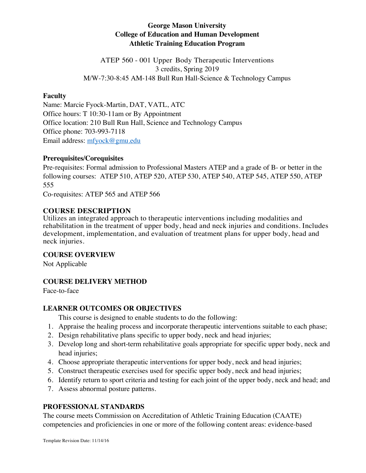## **George Mason University College of Education and Human Development Athletic Training Education Program**

ATEP 560 - 001 Upper Body Therapeutic Interventions 3 credits, Spring 2019 M/W-7:30-8:45 AM-148 Bull Run Hall-Science & Technology Campus

### **Faculty**

Name: Marcie Fyock-Martin, DAT, VATL, ATC Office hours: T 10:30-11am or By Appointment Office location: 210 Bull Run Hall, Science and Technology Campus Office phone: 703-993-7118 Email address: mfyock@gmu.edu

### **Prerequisites/Corequisites**

Pre-requisites: Formal admission to Professional Masters ATEP and a grade of B- or better in the following courses: ATEP 510, ATEP 520, ATEP 530, ATEP 540, ATEP 545, ATEP 550, ATEP 555

Co-requisites: ATEP 565 and ATEP 566

## **COURSE DESCRIPTION**

Utilizes an integrated approach to therapeutic interventions including modalities and rehabilitation in the treatment of upper body, head and neck injuries and conditions. Includes development, implementation, and evaluation of treatment plans for upper body, head and neck injuries.

### **COURSE OVERVIEW**

Not Applicable

## **COURSE DELIVERY METHOD**

Face-to-face

## **LEARNER OUTCOMES OR OBJECTIVES**

This course is designed to enable students to do the following:

- 1. Appraise the healing process and incorporate therapeutic interventions suitable to each phase;
- 2. Design rehabilitative plans specific to upper body, neck and head injuries;
- 3. Develop long and short-term rehabilitative goals appropriate for specific upper body, neck and head injuries;
- 4. Choose appropriate therapeutic interventions for upper body, neck and head injuries;
- 5. Construct therapeutic exercises used for specific upper body, neck and head injuries;
- 6. Identify return to sport criteria and testing for each joint of the upper body, neck and head; and
- 7. Assess abnormal posture patterns.

## **PROFESSIONAL STANDARDS**

The course meets Commission on Accreditation of Athletic Training Education (CAATE) competencies and proficiencies in one or more of the following content areas: evidence-based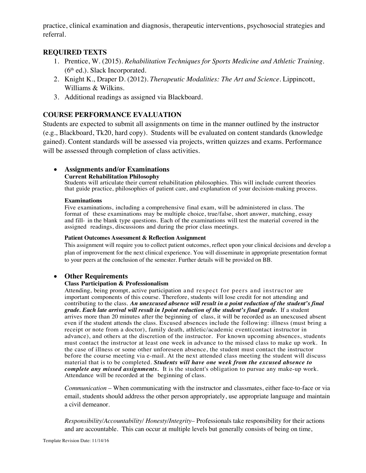practice, clinical examination and diagnosis, therapeutic interventions, psychosocial strategies and referral.

### **REQUIRED TEXTS**

- 1. Prentice, W. (2015). *Rehabilitation Techniques for Sports Medicine and Athletic Training.*  (6th ed.). Slack Incorporated.
- 2. Knight K., Draper D. (2012). *Therapeutic Modalities: The Art and Science.* Lippincott, Williams & Wilkins.
- 3. Additional readings as assigned via Blackboard.

### **COURSE PERFORMANCE EVALUATION**

Students are expected to submit all assignments on time in the manner outlined by the instructor (e.g., Blackboard, Tk20, hard copy). Students will be evaluated on content standards (knowledge gained). Content standards will be assessed via projects, written quizzes and exams. Performance will be assessed through completion of class activities.

# • **Assignments and/or Examinations**

#### **Current Rehabilitation Philosophy**

Students will articulate their current rehabilitation philosophies. This will include current theories that guide practice, philosophies of patient care, and explanation of your decision-making process.

### **Examinations**

Five examinations, including a comprehensive final exam, will be administered in class. The format of these examinations may be multiple choice, true/false, short answer, matching, essay and fill- in the blank type questions. Each of the examinations will test the material covered in the assigned readings, discussions and during the prior class meetings.

#### **Patient Outcomes Assessment & Reflection Assignment**

This assignment will require you to collect patient outcomes, reflect upon your clinical decisions and develop a plan of improvement for the next clinical experience. You will disseminate in appropriate presentation format to your peers at the conclusion of the semester. Further details will be provided on BB.

### • **Other Requirements**

### **Class Participation & Professionalism**

Attending, being prompt, active participation and respect for peers and instructor are important components of this course. Therefore, students will lose credit for not attending and contributing to the class. *An unexcused absence will result in a point reduction of the student's final grade. Each late arrival will result in 1point reduction of the student's final grade.* If a student arrives more than 20 minutes after the beginning of class, it will be recorded as an unexcused absent even if the student attends the class. Excused absences include the following: illness (must bring a receipt or note from a doctor), family death, athletic/academic event(contact instructor in advance), and others at the discretion of the instructor. For known upcoming absences, students must contact the instructor at least one week in advance to the missed class to make up work. In the case of illness or some other unforeseen absence, the student must contact the instructor before the course meeting via e-mail. At the next attended class meeting the student will discuss material that is to be completed. *Students will have one week from the excused absence to complete any missed assignments.* It is the student's obligation to pursue any make-up work. Attendance will be recorded at the beginning of class.

*Communication* – When communicating with the instructor and classmates, either face-to-face or via email, students should address the other person appropriately, use appropriate language and maintain a civil demeanor.

*Responsibility/Accountability/ Honesty/Integrity*– Professionals take responsibility for their actions and are accountable. This can occur at multiple levels but generally consists of being on time,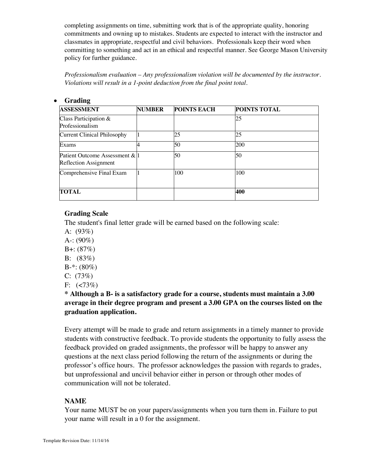completing assignments on time, submitting work that is of the appropriate quality, honoring commitments and owning up to mistakes. Students are expected to interact with the instructor and classmates in appropriate, respectful and civil behaviors. Professionals keep their word when committing to something and act in an ethical and respectful manner. See George Mason University policy for further guidance.

*Professionalism evaluation – Any professionalism violation will be documented by the instructor. Violations will result in a 1-point deduction from the final point total.*

| <b>ASSESSMENT</b>                                       | <b>NUMBER</b> | <b>POINTS EACH</b> | <b>POINTS TOTAL</b> |
|---------------------------------------------------------|---------------|--------------------|---------------------|
| Class Participation &<br>Professionalism                |               |                    | 25                  |
| <b>Current Clinical Philosophy</b>                      |               | 25                 | 25                  |
| Exams                                                   |               | 50                 | 200                 |
| Patient Outcome Assessment & 1<br>Reflection Assignment |               | 50                 | 50                  |
| Comprehensive Final Exam                                |               | 100                | 100                 |
| <b>TOTAL</b>                                            |               |                    | 400                 |

### • **Grading**

### **Grading Scale**

The student's final letter grade will be earned based on the following scale:

- A:  $(93%)$
- A-:  $(90\%)$
- $B +: (87%)$
- B: (83%)
- $B-*: (80\%)$
- C: (73%)
- F:  $(< 73\%)$

**\* Although a B- is a satisfactory grade for a course, students must maintain a 3.00 average in their degree program and present a 3.00 GPA on the courses listed on the graduation application.**

Every attempt will be made to grade and return assignments in a timely manner to provide students with constructive feedback. To provide students the opportunity to fully assess the feedback provided on graded assignments, the professor will be happy to answer any questions at the next class period following the return of the assignments or during the professor's office hours. The professor acknowledges the passion with regards to grades, but unprofessional and uncivil behavior either in person or through other modes of communication will not be tolerated.

## **NAME**

Your name MUST be on your papers/assignments when you turn them in. Failure to put your name will result in a 0 for the assignment.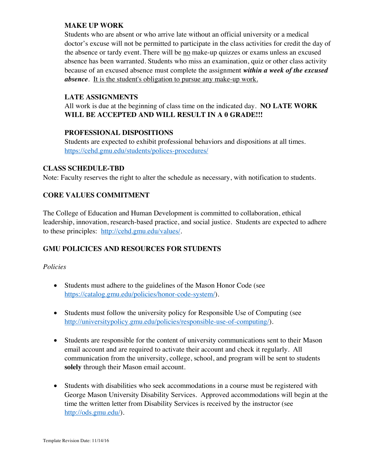## **MAKE UP WORK**

Students who are absent or who arrive late without an official university or a medical doctor's excuse will not be permitted to participate in the class activities for credit the day of the absence or tardy event. There will be no make-up quizzes or exams unless an excused absence has been warranted. Students who miss an examination, quiz or other class activity because of an excused absence must complete the assignment *within a week of the excused absence*. It is the student's obligation to pursue any make-up work.

### **LATE ASSIGNMENTS**

All work is due at the beginning of class time on the indicated day. **NO LATE WORK WILL BE ACCEPTED AND WILL RESULT IN A 0 GRADE!!!** 

### **PROFESSIONAL DISPOSITIONS**

Students are expected to exhibit professional behaviors and dispositions at all times. https://cehd.gmu.edu/students/polices-procedures/

### **CLASS SCHEDULE-TBD**

Note: Faculty reserves the right to alter the schedule as necessary, with notification to students.

# **CORE VALUES COMMITMENT**

The College of Education and Human Development is committed to collaboration, ethical leadership, innovation, research-based practice, and social justice. Students are expected to adhere to these principles: http://cehd.gmu.edu/values/.

## **GMU POLICICES AND RESOURCES FOR STUDENTS**

### *Policies*

- Students must adhere to the guidelines of the Mason Honor Code (see https://catalog.gmu.edu/policies/honor-code-system/).
- Students must follow the university policy for Responsible Use of Computing (see http://universitypolicy.gmu.edu/policies/responsible-use-of-computing/).
- Students are responsible for the content of university communications sent to their Mason email account and are required to activate their account and check it regularly. All communication from the university, college, school, and program will be sent to students **solely** through their Mason email account.
- Students with disabilities who seek accommodations in a course must be registered with George Mason University Disability Services. Approved accommodations will begin at the time the written letter from Disability Services is received by the instructor (see http://ods.gmu.edu/).